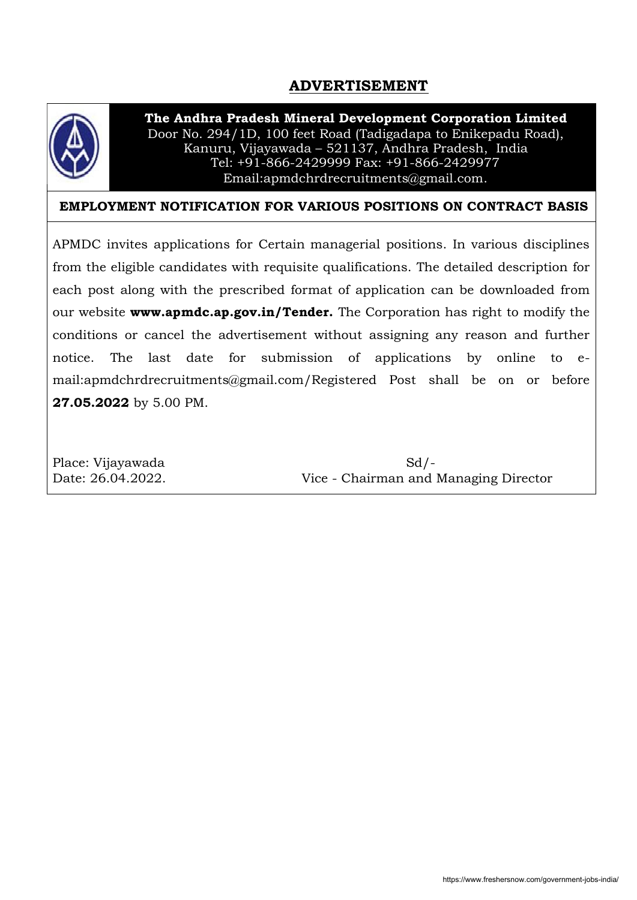## **ADVERTISEMENT**



**The Andhra Pradesh Mineral Development Corporation Limited** Door No. 294/1D, 100 feet Road (Tadigadapa to Enikepadu Road), Kanuru, Vijayawada – 521137, Andhra Pradesh, India Tel: +91-866-2429999 Fax: +91-866-2429977 Email:apmdchrdrecruitments@gmail.com.

### **EMPLOYMENT NOTIFICATION FOR VARIOUS POSITIONS ON CONTRACT BASIS**

APMDC invites applications for Certain managerial positions. In various disciplines from the eligible candidates with requisite qualifications. The detailed description for each post along with the prescribed format of application can be downloaded from our website **www.apmdc.ap.gov.in/Tender.** The Corporation has right to modify the conditions or cancel the advertisement without assigning any reason and further notice. The last date for submission of applications by online to email:apmdchrdrecruitments@gmail.com/Registered Post shall be on or before **27.05.2022** by 5.00 PM.

Place: Vijayawada Sd/-Date: 26.04.2022. Vice - Chairman and Managing Director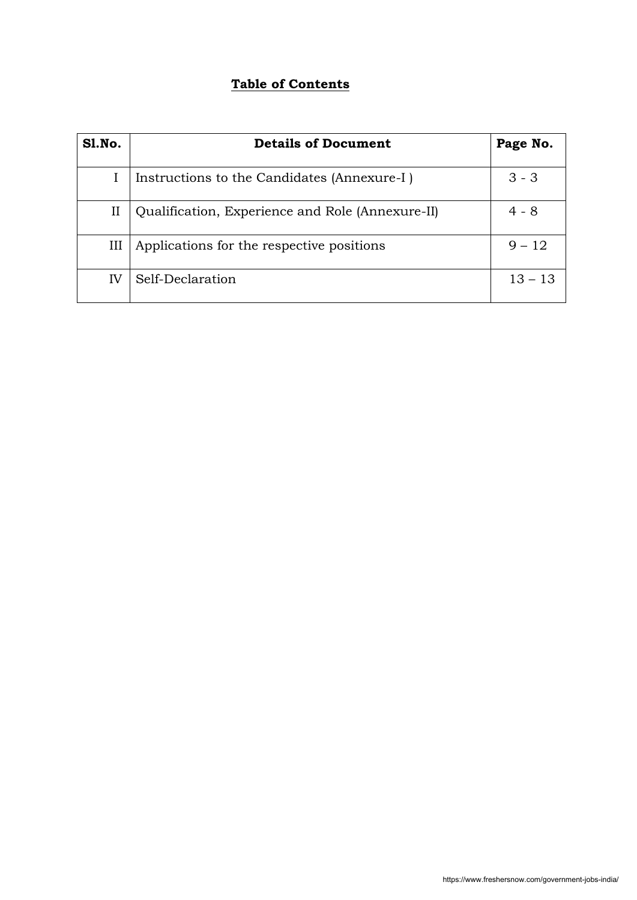# **Table of Contents**

| Sl.No.      | <b>Details of Document</b>                       | Page No.  |
|-------------|--------------------------------------------------|-----------|
|             | Instructions to the Candidates (Annexure-I)      | $3 - 3$   |
| $_{\rm II}$ | Qualification, Experience and Role (Annexure-II) | $4 - 8$   |
| Ш           | Applications for the respective positions        | $9 - 12$  |
| IV          | Self-Declaration                                 | $13 - 13$ |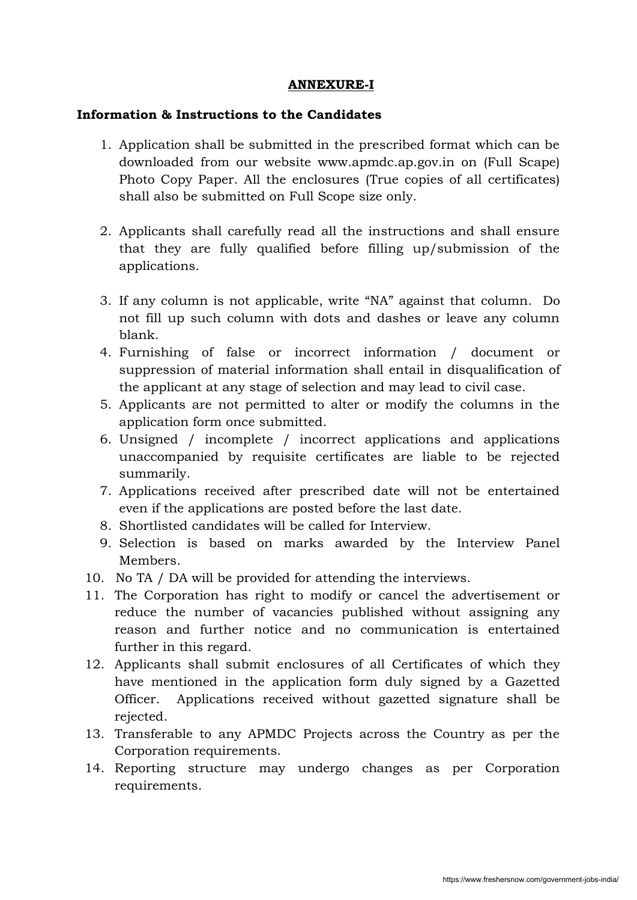#### **ANNEXURE-I**

#### **Information & Instructions to the Candidates**

- 1. Application shall be submitted in the prescribed format which can be downloaded from our website www.apmdc.ap.gov.in on (Full Scape) Photo Copy Paper. All the enclosures (True copies of all certificates) shall also be submitted on Full Scope size only.
- 2. Applicants shall carefully read all the instructions and shall ensure that they are fully qualified before filling up/submission of the applications.
- 3. If any column is not applicable, write "NA" against that column. Do not fill up such column with dots and dashes or leave any column blank.
- 4. Furnishing of false or incorrect information / document or suppression of material information shall entail in disqualification of the applicant at any stage of selection and may lead to civil case.
- 5. Applicants are not permitted to alter or modify the columns in the application form once submitted.
- 6. Unsigned / incomplete / incorrect applications and applications unaccompanied by requisite certificates are liable to be rejected summarily.
- 7. Applications received after prescribed date will not be entertained even if the applications are posted before the last date.
- 8. Shortlisted candidates will be called for Interview.
- 9. Selection is based on marks awarded by the Interview Panel Members.
- 10. No TA / DA will be provided for attending the interviews.
- 11. The Corporation has right to modify or cancel the advertisement or reduce the number of vacancies published without assigning any reason and further notice and no communication is entertained further in this regard.
- 12. Applicants shall submit enclosures of all Certificates of which they have mentioned in the application form duly signed by a Gazetted Officer. Applications received without gazetted signature shall be rejected.
- 13. Transferable to any APMDC Projects across the Country as per the Corporation requirements.
- 14. Reporting structure may undergo changes as per Corporation requirements.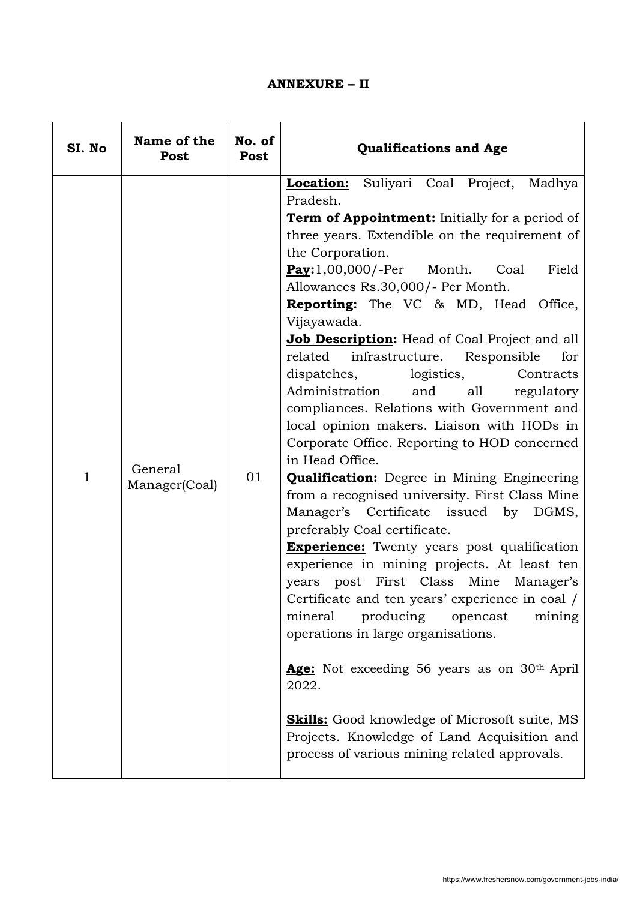## **ANNEXURE – II**

| SI. No | Name of the<br>Post      | No. of<br>Post | <b>Qualifications and Age</b>                                                                                                                                                                                                                                                                                                                                                                                                                                                                                                                                                                                                                                                                                                                                                                                                                                                                                                                                                                                                                                                                                                                                                                                                                                                                                                                                                                                         |
|--------|--------------------------|----------------|-----------------------------------------------------------------------------------------------------------------------------------------------------------------------------------------------------------------------------------------------------------------------------------------------------------------------------------------------------------------------------------------------------------------------------------------------------------------------------------------------------------------------------------------------------------------------------------------------------------------------------------------------------------------------------------------------------------------------------------------------------------------------------------------------------------------------------------------------------------------------------------------------------------------------------------------------------------------------------------------------------------------------------------------------------------------------------------------------------------------------------------------------------------------------------------------------------------------------------------------------------------------------------------------------------------------------------------------------------------------------------------------------------------------------|
| 1      | General<br>Manager(Coal) | 01             | Suliyari Coal Project, Madhya<br><b>Location:</b><br>Pradesh.<br><b>Term of Appointment:</b> Initially for a period of<br>three years. Extendible on the requirement of<br>the Corporation.<br><b>Pay:</b> 1,00,000/-Per Month.<br>Coal<br>Field<br>Allowances Rs.30,000/- Per Month.<br><b>Reporting:</b> The VC & MD, Head Office,<br>Vijayawada.<br><b>Job Description:</b> Head of Coal Project and all<br>infrastructure. Responsible<br>related<br>for<br>dispatches,<br>logistics,<br>Contracts<br>Administration<br>and<br>all<br>regulatory<br>compliances. Relations with Government and<br>local opinion makers. Liaison with HODs in<br>Corporate Office. Reporting to HOD concerned<br>in Head Office.<br><b>Qualification:</b> Degree in Mining Engineering<br>from a recognised university. First Class Mine<br>Manager's Certificate issued by DGMS,<br>preferably Coal certificate.<br><b>Experience:</b> Twenty years post qualification<br>experience in mining projects. At least ten<br>years post First Class Mine Manager's<br>Certificate and ten years' experience in coal /<br>producing<br>mineral<br>mining<br>opencast<br>operations in large organisations.<br>Age: Not exceeding 56 years as on 30 <sup>th</sup> April<br>2022.<br><b>Skills:</b> Good knowledge of Microsoft suite, MS<br>Projects. Knowledge of Land Acquisition and<br>process of various mining related approvals. |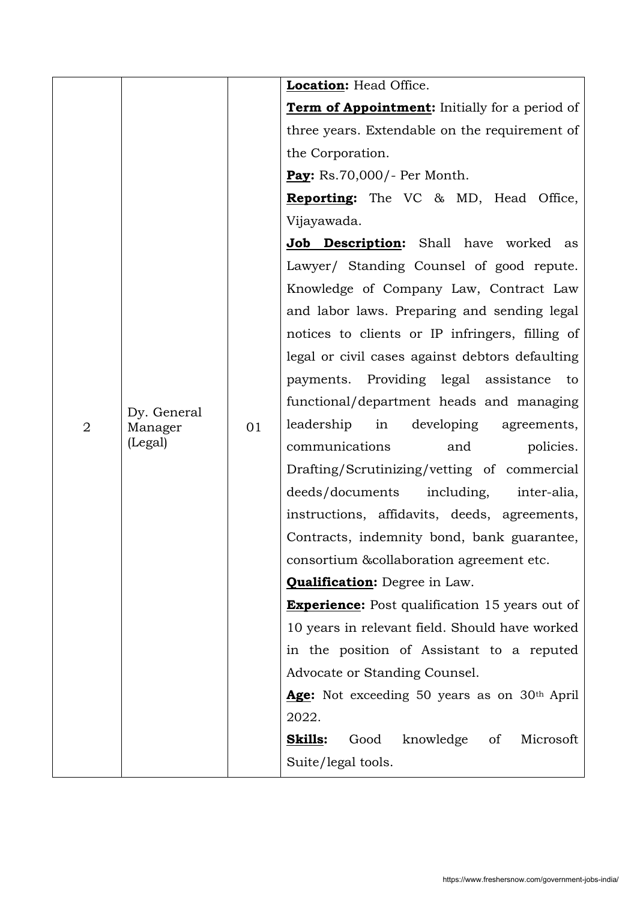|                                       |         |                                          | Location: Head Office.                                   |
|---------------------------------------|---------|------------------------------------------|----------------------------------------------------------|
|                                       |         |                                          | <b>Term of Appointment:</b> Initially for a period of    |
|                                       |         |                                          | three years. Extendable on the requirement of            |
|                                       |         |                                          | the Corporation.                                         |
|                                       |         |                                          | <b>Pay:</b> Rs.70,000/- Per Month.                       |
|                                       |         |                                          | Reporting: The VC & MD, Head Office,                     |
|                                       |         |                                          | Vijayawada.                                              |
|                                       |         |                                          | Job Description: Shall have worked as                    |
|                                       |         |                                          | Lawyer/ Standing Counsel of good repute.                 |
|                                       |         |                                          | Knowledge of Company Law, Contract Law                   |
|                                       |         |                                          | and labor laws. Preparing and sending legal              |
| Dy. General<br>$\mathbf 2$<br>Manager |         |                                          | notices to clients or IP infringers, filling of          |
|                                       |         |                                          | legal or civil cases against debtors defaulting          |
|                                       |         |                                          | payments. Providing legal assistance<br>to               |
|                                       |         | functional/department heads and managing |                                                          |
|                                       |         | 01                                       | leadership<br>in developing agreements,                  |
|                                       | (Legal) |                                          | communications<br>policies.<br>and                       |
|                                       |         |                                          | Drafting/Scrutinizing/vetting of commercial              |
|                                       |         |                                          | deeds/documents<br>including,<br>inter-alia,             |
|                                       |         |                                          | instructions, affidavits, deeds, agreements,             |
|                                       |         |                                          | Contracts, indemnity bond, bank guarantee,               |
|                                       |         |                                          | consortium & collaboration agreement etc.                |
|                                       |         |                                          | <b>Qualification:</b> Degree in Law.                     |
|                                       |         |                                          | <b>Experience:</b> Post qualification 15 years out of    |
|                                       |         |                                          | 10 years in relevant field. Should have worked           |
|                                       |         |                                          | in the position of Assistant to a reputed                |
|                                       |         |                                          | Advocate or Standing Counsel.                            |
|                                       |         |                                          | Age: Not exceeding 50 years as on 30 <sup>th</sup> April |
|                                       |         |                                          | 2022.                                                    |
|                                       |         |                                          | Microsoft<br><b>Skills:</b><br>Good<br>knowledge<br>of   |
|                                       |         |                                          | Suite/legal tools.                                       |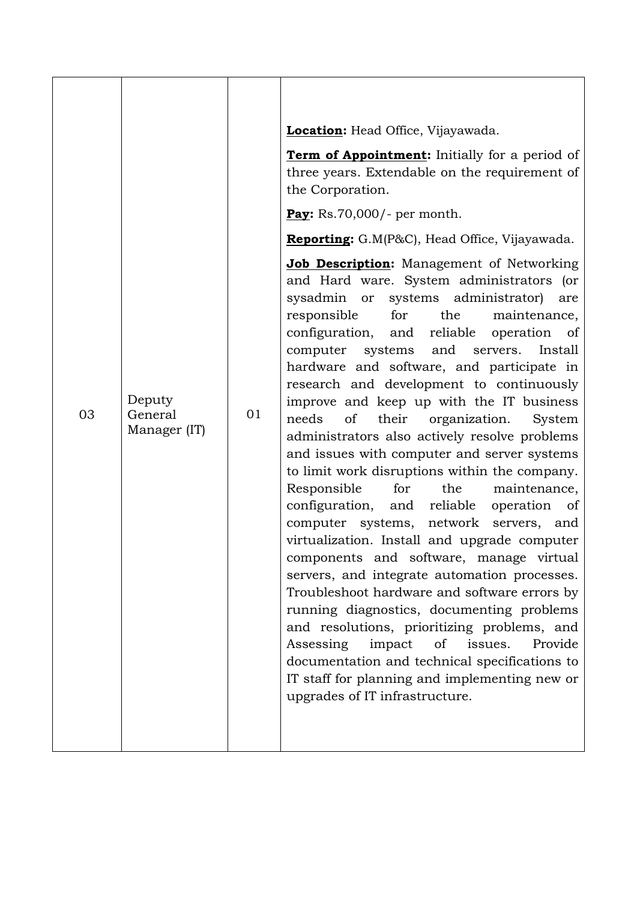| 03 | Deputy<br>General<br>Manager (IT) | 01 | Location: Head Office, Vijayawada.<br><b>Term of Appointment:</b> Initially for a period of<br>three years. Extendable on the requirement of<br>the Corporation.<br><b>Pay:</b> $Rs.70,000/-$ per month.<br><b>Reporting:</b> G.M(P&C), Head Office, Vijayawada.<br><b>Job Description:</b> Management of Networking<br>and Hard ware. System administrators (or<br>sysadmin or systems administrator)<br>are<br>the<br>responsible<br>for<br>maintenance,<br>configuration,<br>and reliable operation<br>of<br>computer<br>systems<br>and<br>Install<br>servers.<br>hardware and software, and participate in<br>research and development to continuously<br>improve and keep up with the IT business<br>their organization.<br>needs<br>of<br>System<br>administrators also actively resolve problems<br>and issues with computer and server systems<br>to limit work disruptions within the company.<br>for<br>Responsible<br>the<br>maintenance,<br>configuration, and reliable<br>operation of<br>computer systems, network servers, and<br>virtualization. Install and upgrade computer<br>components and software, manage virtual |
|----|-----------------------------------|----|------------------------------------------------------------------------------------------------------------------------------------------------------------------------------------------------------------------------------------------------------------------------------------------------------------------------------------------------------------------------------------------------------------------------------------------------------------------------------------------------------------------------------------------------------------------------------------------------------------------------------------------------------------------------------------------------------------------------------------------------------------------------------------------------------------------------------------------------------------------------------------------------------------------------------------------------------------------------------------------------------------------------------------------------------------------------------------------------------------------------------------------|
|    |                                   |    | servers, and integrate automation processes.<br>Troubleshoot hardware and software errors by<br>running diagnostics, documenting problems<br>and resolutions, prioritizing problems, and<br>Assessing<br>impact<br>of<br>issues.<br>Provide<br>documentation and technical specifications to<br>IT staff for planning and implementing new or<br>upgrades of IT infrastructure.                                                                                                                                                                                                                                                                                                                                                                                                                                                                                                                                                                                                                                                                                                                                                          |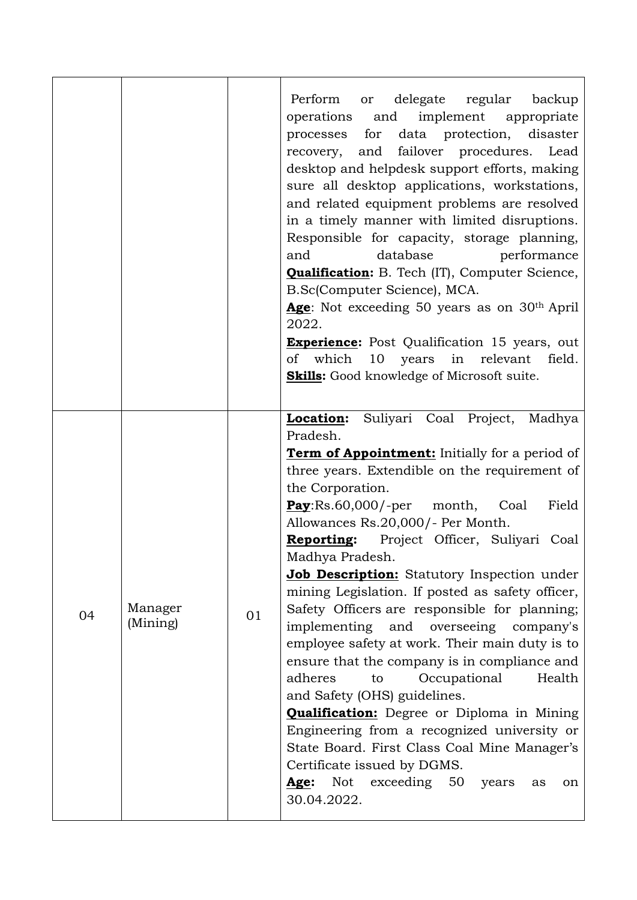|    |                     |    | delegate<br>Perform<br>regular backup<br>or<br>operations<br>implement appropriate<br>and<br>for data protection, disaster<br>processes<br>recovery, and failover procedures.<br>Lead<br>desktop and helpdesk support efforts, making<br>sure all desktop applications, workstations,<br>and related equipment problems are resolved<br>in a timely manner with limited disruptions.<br>Responsible for capacity, storage planning,<br>database<br>and<br>performance<br><b>Qualification:</b> B. Tech (IT), Computer Science,<br>B.Sc(Computer Science), MCA.<br>Age: Not exceeding 50 years as on 30 <sup>th</sup> April<br>2022.<br><b>Experience:</b> Post Qualification 15 years, out<br>which<br>in<br>10<br>years<br>relevant<br>field.<br>of<br><b>Skills:</b> Good knowledge of Microsoft suite.                                                                                                                                                                   |
|----|---------------------|----|-----------------------------------------------------------------------------------------------------------------------------------------------------------------------------------------------------------------------------------------------------------------------------------------------------------------------------------------------------------------------------------------------------------------------------------------------------------------------------------------------------------------------------------------------------------------------------------------------------------------------------------------------------------------------------------------------------------------------------------------------------------------------------------------------------------------------------------------------------------------------------------------------------------------------------------------------------------------------------|
| 04 | Manager<br>(Mining) | 01 | Suliyari Coal Project, Madhya<br>Location:<br>Pradesh.<br><b>Term of Appointment:</b> Initially for a period of<br>three years. Extendible on the requirement of<br>the Corporation.<br>Pay:Rs.60,000/-per month, Coal<br>Field<br>Allowances Rs.20,000/- Per Month.<br>Reporting: Project Officer, Suliyari Coal<br>Madhya Pradesh.<br><b>Job Description:</b> Statutory Inspection under<br>mining Legislation. If posted as safety officer,<br>Safety Officers are responsible for planning;<br>implementing and overseeing company's<br>employee safety at work. Their main duty is to<br>ensure that the company is in compliance and<br>adheres<br>Health<br>Occupational<br>to<br>and Safety (OHS) guidelines.<br><b>Qualification:</b> Degree or Diploma in Mining<br>Engineering from a recognized university or<br>State Board. First Class Coal Mine Manager's<br>Certificate issued by DGMS.<br>Not exceeding<br>50<br>Age:<br>years<br>as<br>on<br>30.04.2022. |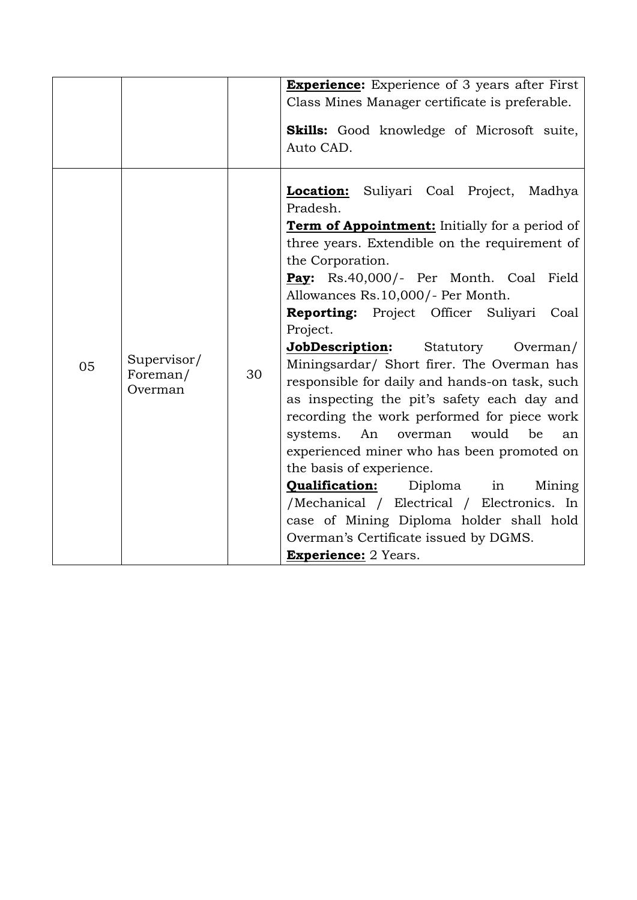|    |             |    | <b>Experience:</b> Experience of 3 years after First  |
|----|-------------|----|-------------------------------------------------------|
|    |             |    | Class Mines Manager certificate is preferable.        |
|    |             |    | <b>Skills:</b> Good knowledge of Microsoft suite,     |
|    |             |    | Auto CAD.                                             |
|    |             |    |                                                       |
|    |             |    | <b>Location:</b> Suliyari Coal Project, Madhya        |
|    |             |    | Pradesh.                                              |
|    |             |    | <b>Term of Appointment:</b> Initially for a period of |
|    |             |    | three years. Extendible on the requirement of         |
|    |             |    | the Corporation.                                      |
|    |             |    | Pay: Rs.40,000/- Per Month. Coal Field                |
|    |             |    | Allowances Rs.10,000/- Per Month.                     |
|    |             |    | Reporting: Project Officer Suliyari<br>Coal           |
|    |             |    | Project.                                              |
|    | Supervisor/ |    | JobDescription:<br>Statutory<br>Overman/              |
| 05 | Foreman/    | 30 | Miningsardar/ Short firer. The Overman has            |
|    | Overman     |    | responsible for daily and hands-on task, such         |
|    |             |    | as inspecting the pit's safety each day and           |
|    |             |    | recording the work performed for piece work           |
|    |             |    | An<br>would<br>be<br>systems.<br>overman<br>an        |
|    |             |    | experienced miner who has been promoted on            |
|    |             |    | the basis of experience.                              |
|    |             |    | Qualification:<br>Diploma<br>Mining<br>in             |
|    |             |    | /Mechanical / Electrical / Electronics. In            |
|    |             |    | case of Mining Diploma holder shall hold              |
|    |             |    | Overman's Certificate issued by DGMS.                 |
|    |             |    | <b>Experience:</b> 2 Years.                           |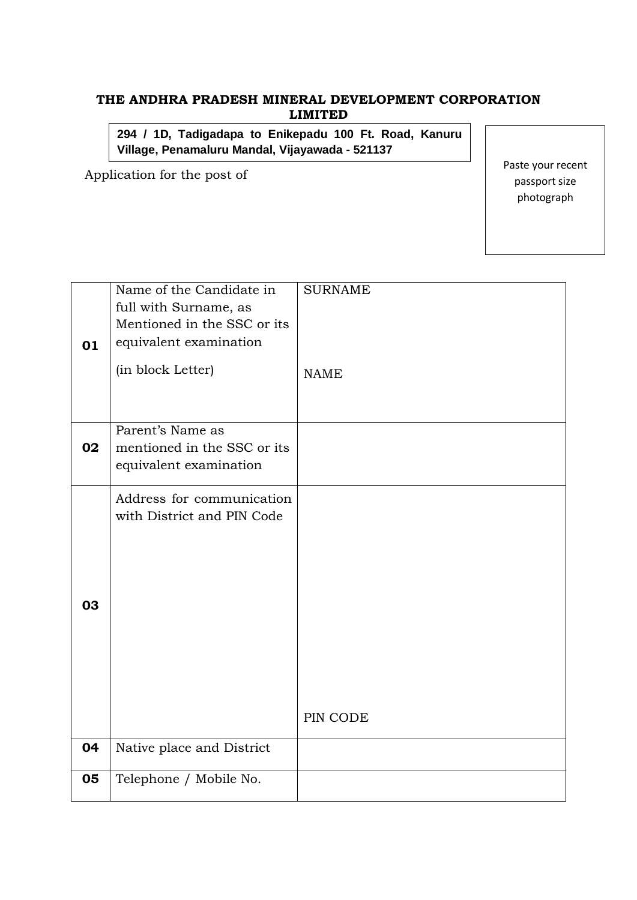## **THE ANDHRA PRADESH MINERAL DEVELOPMENT CORPORATION LIMITED**

**294 / 1D, Tadigadapa to Enikepadu 100 Ft. Road, Kanuru Village, Penamaluru Mandal, Vijayawada - 521137**

Application for the post of

Paste your recent passport size photograph

| 01 | Name of the Candidate in<br>full with Surname, as<br>Mentioned in the SSC or its<br>equivalent examination<br>(in block Letter) | <b>SURNAME</b><br><b>NAME</b> |
|----|---------------------------------------------------------------------------------------------------------------------------------|-------------------------------|
|    |                                                                                                                                 |                               |
| 02 | Parent's Name as<br>mentioned in the SSC or its<br>equivalent examination                                                       |                               |
| 03 | Address for communication<br>with District and PIN Code                                                                         |                               |
|    |                                                                                                                                 | PIN CODE                      |
| 04 | Native place and District                                                                                                       |                               |
| 05 | Telephone / Mobile No.                                                                                                          |                               |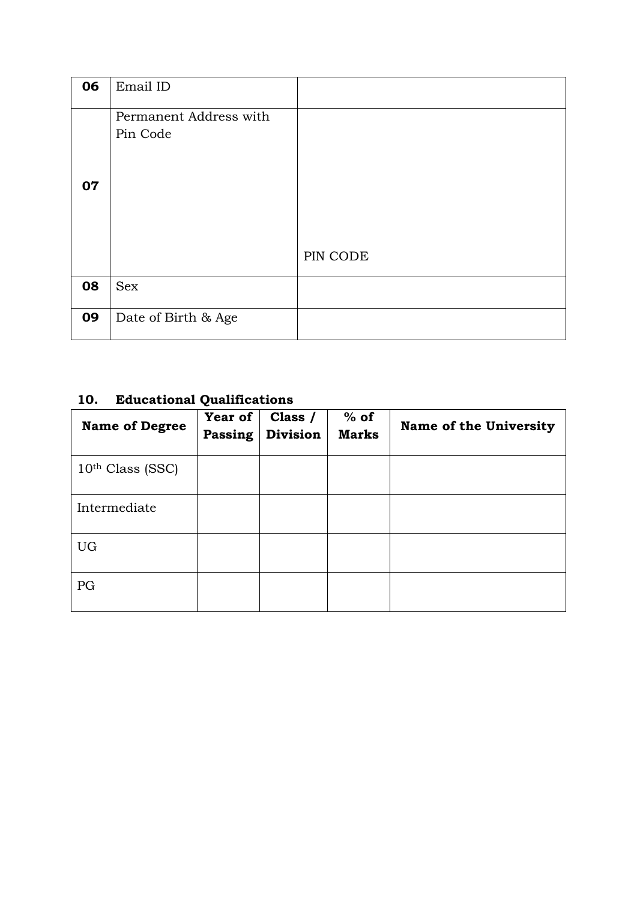| 06 | Email ID                           |          |
|----|------------------------------------|----------|
| 07 | Permanent Address with<br>Pin Code |          |
|    |                                    | PIN CODE |
| 08 | <b>Sex</b>                         |          |
| 09 | Date of Birth & Age                |          |

# **10. Educational Qualifications**

| <b>Name of Degree</b> | <b>Year of</b><br><b>Passing</b> | Class /<br><b>Division</b> | $%$ of<br><b>Marks</b> | <b>Name of the University</b> |
|-----------------------|----------------------------------|----------------------------|------------------------|-------------------------------|
| 10th Class (SSC)      |                                  |                            |                        |                               |
| Intermediate          |                                  |                            |                        |                               |
| UG                    |                                  |                            |                        |                               |
| PG                    |                                  |                            |                        |                               |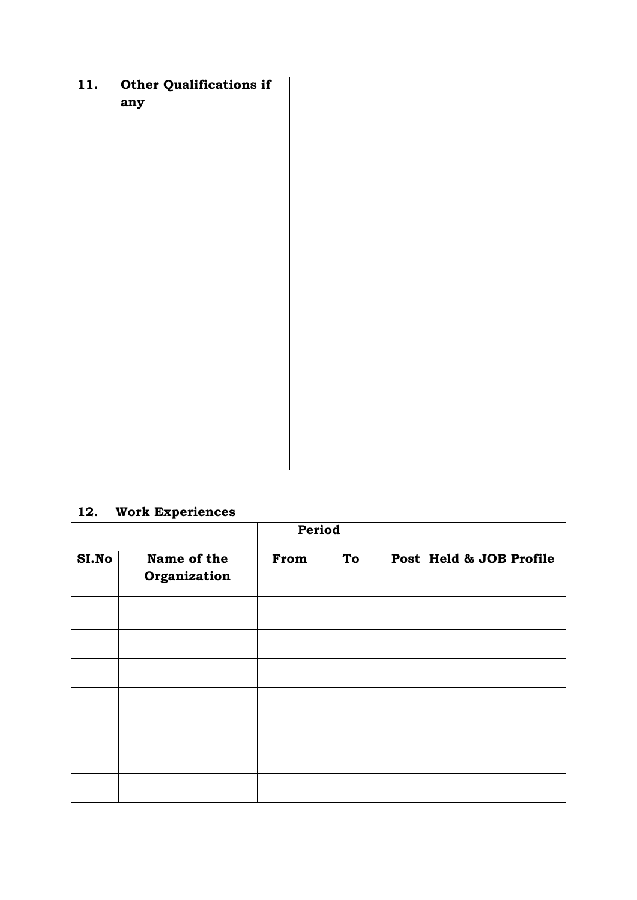| 11. | <b>Other Qualifications if</b> |  |
|-----|--------------------------------|--|
|     | any                            |  |
|     |                                |  |
|     |                                |  |
|     |                                |  |
|     |                                |  |
|     |                                |  |
|     |                                |  |
|     |                                |  |
|     |                                |  |
|     |                                |  |
|     |                                |  |
|     |                                |  |
|     |                                |  |
|     |                                |  |
|     |                                |  |
|     |                                |  |
|     |                                |  |
|     |                                |  |
|     |                                |  |
|     |                                |  |
|     |                                |  |
|     |                                |  |

# **12. Work Experiences**

|       |                             | Period |    |                         |
|-------|-----------------------------|--------|----|-------------------------|
| SI.No | Name of the<br>Organization | From   | To | Post Held & JOB Profile |
|       |                             |        |    |                         |
|       |                             |        |    |                         |
|       |                             |        |    |                         |
|       |                             |        |    |                         |
|       |                             |        |    |                         |
|       |                             |        |    |                         |
|       |                             |        |    |                         |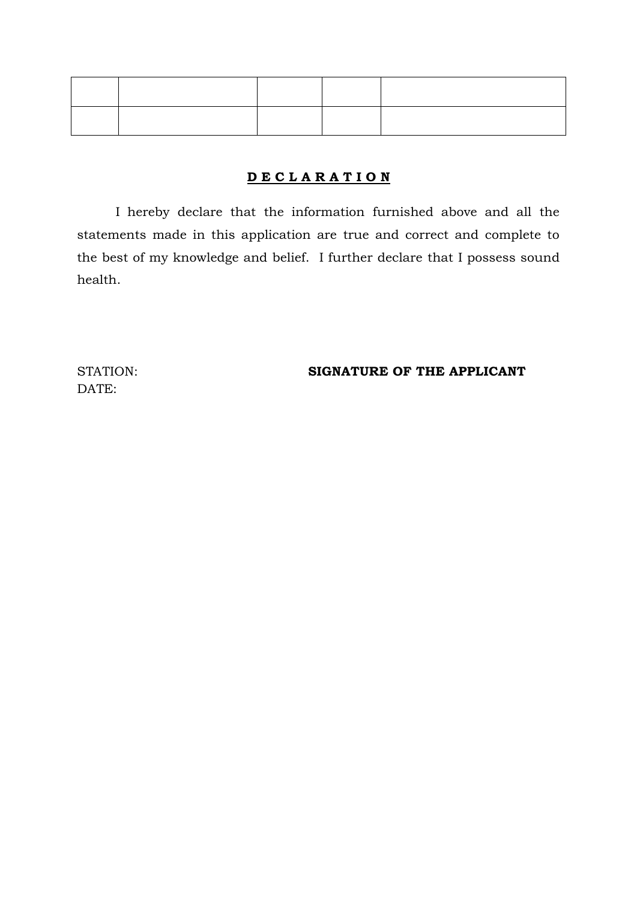#### **D E C L A R A T I O N**

I hereby declare that the information furnished above and all the statements made in this application are true and correct and complete to the best of my knowledge and belief. I further declare that I possess sound health.

STATION: **SIGNATURE OF THE APPLICANT** 

DATE: